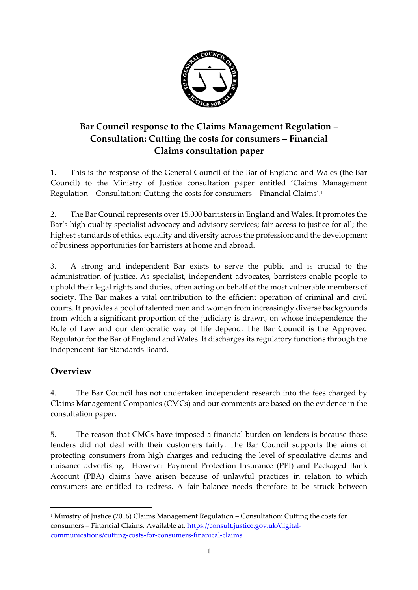

# **Bar Council response to the Claims Management Regulation – Consultation: Cutting the costs for consumers – Financial Claims consultation paper**

1. This is the response of the General Council of the Bar of England and Wales (the Bar Council) to the Ministry of Justice consultation paper entitled 'Claims Management Regulation – Consultation: Cutting the costs for consumers – Financial Claims'. 1

2. The Bar Council represents over 15,000 barristers in England and Wales. It promotes the Bar's high quality specialist advocacy and advisory services; fair access to justice for all; the highest standards of ethics, equality and diversity across the profession; and the development of business opportunities for barristers at home and abroad.

3. A strong and independent Bar exists to serve the public and is crucial to the administration of justice. As specialist, independent advocates, barristers enable people to uphold their legal rights and duties, often acting on behalf of the most vulnerable members of society. The Bar makes a vital contribution to the efficient operation of criminal and civil courts. It provides a pool of talented men and women from increasingly diverse backgrounds from which a significant proportion of the judiciary is drawn, on whose independence the Rule of Law and our democratic way of life depend. The Bar Council is the Approved Regulator for the Bar of England and Wales. It discharges its regulatory functions through the independent Bar Standards Board.

### **Overview**

 $\overline{a}$ 

4. The Bar Council has not undertaken independent research into the fees charged by Claims Management Companies (CMCs) and our comments are based on the evidence in the consultation paper.

5. The reason that CMCs have imposed a financial burden on lenders is because those lenders did not deal with their customers fairly. The Bar Council supports the aims of protecting consumers from high charges and reducing the level of speculative claims and nuisance advertising. However Payment Protection Insurance (PPI) and Packaged Bank Account (PBA) claims have arisen because of unlawful practices in relation to which consumers are entitled to redress. A fair balance needs therefore to be struck between

<sup>1</sup> Ministry of Justice (2016) Claims Management Regulation – Consultation: Cutting the costs for consumers – Financial Claims. Available at: [https://consult.justice.gov.uk/digital](https://consult.justice.gov.uk/digital-communications/cutting-costs-for-consumers-finanical-claims)[communications/cutting-costs-for-consumers-finanical-claims](https://consult.justice.gov.uk/digital-communications/cutting-costs-for-consumers-finanical-claims)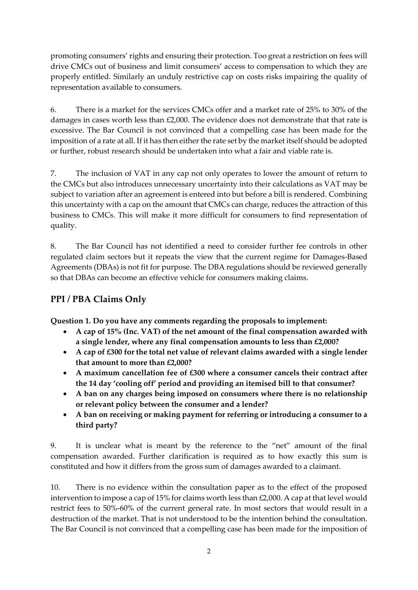promoting consumers' rights and ensuring their protection. Too great a restriction on fees will drive CMCs out of business and limit consumers' access to compensation to which they are properly entitled. Similarly an unduly restrictive cap on costs risks impairing the quality of representation available to consumers.

6. There is a market for the services CMCs offer and a market rate of 25% to 30% of the damages in cases worth less than  $£2,000$ . The evidence does not demonstrate that that rate is excessive. The Bar Council is not convinced that a compelling case has been made for the imposition of a rate at all. If it has then either the rate set by the market itself should be adopted or further, robust research should be undertaken into what a fair and viable rate is.

7. The inclusion of VAT in any cap not only operates to lower the amount of return to the CMCs but also introduces unnecessary uncertainty into their calculations as VAT may be subject to variation after an agreement is entered into but before a bill is rendered. Combining this uncertainty with a cap on the amount that CMCs can charge, reduces the attraction of this business to CMCs. This will make it more difficult for consumers to find representation of quality.

8. The Bar Council has not identified a need to consider further fee controls in other regulated claim sectors but it repeats the view that the current regime for Damages-Based Agreements (DBAs) is not fit for purpose. The DBA regulations should be reviewed generally so that DBAs can become an effective vehicle for consumers making claims.

## **PPI / PBA Claims Only**

**Question 1. Do you have any comments regarding the proposals to implement:**

- **A cap of 15% (Inc. VAT) of the net amount of the final compensation awarded with a single lender, where any final compensation amounts to less than £2,000?**
- **A cap of £300 for the total net value of relevant claims awarded with a single lender that amount to more than £2,000?**
- **A maximum cancellation fee of £300 where a consumer cancels their contract after the 14 day 'cooling off' period and providing an itemised bill to that consumer?**
- **A ban on any charges being imposed on consumers where there is no relationship or relevant policy between the consumer and a lender?**
- **A ban on receiving or making payment for referring or introducing a consumer to a third party?**

9. It is unclear what is meant by the reference to the "net" amount of the final compensation awarded. Further clarification is required as to how exactly this sum is constituted and how it differs from the gross sum of damages awarded to a claimant.

10. There is no evidence within the consultation paper as to the effect of the proposed intervention to impose a cap of 15% for claims worth less than £2,000. A cap at that level would restrict fees to 50%-60% of the current general rate. In most sectors that would result in a destruction of the market. That is not understood to be the intention behind the consultation. The Bar Council is not convinced that a compelling case has been made for the imposition of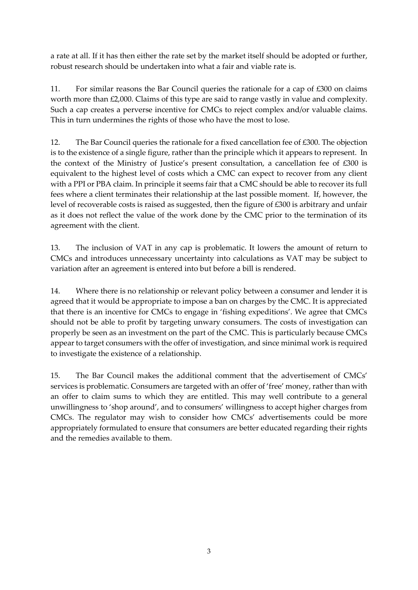a rate at all. If it has then either the rate set by the market itself should be adopted or further, robust research should be undertaken into what a fair and viable rate is.

11. For similar reasons the Bar Council queries the rationale for a cap of £300 on claims worth more than £2,000. Claims of this type are said to range vastly in value and complexity. Such a cap creates a perverse incentive for CMCs to reject complex and/or valuable claims. This in turn undermines the rights of those who have the most to lose.

12. The Bar Council queries the rationale for a fixed cancellation fee of £300. The objection is to the existence of a single figure, rather than the principle which it appears to represent. In the context of the Ministry of Justice's present consultation, a cancellation fee of £300 is equivalent to the highest level of costs which a CMC can expect to recover from any client with a PPI or PBA claim. In principle it seems fair that a CMC should be able to recover its full fees where a client terminates their relationship at the last possible moment. If, however, the level of recoverable costs is raised as suggested, then the figure of £300 is arbitrary and unfair as it does not reflect the value of the work done by the CMC prior to the termination of its agreement with the client.

13. The inclusion of VAT in any cap is problematic. It lowers the amount of return to CMCs and introduces unnecessary uncertainty into calculations as VAT may be subject to variation after an agreement is entered into but before a bill is rendered.

14. Where there is no relationship or relevant policy between a consumer and lender it is agreed that it would be appropriate to impose a ban on charges by the CMC. It is appreciated that there is an incentive for CMCs to engage in 'fishing expeditions'. We agree that CMCs should not be able to profit by targeting unwary consumers. The costs of investigation can properly be seen as an investment on the part of the CMC. This is particularly because CMCs appear to target consumers with the offer of investigation, and since minimal work is required to investigate the existence of a relationship.

15. The Bar Council makes the additional comment that the advertisement of CMCs' services is problematic. Consumers are targeted with an offer of 'free' money, rather than with an offer to claim sums to which they are entitled. This may well contribute to a general unwillingness to 'shop around', and to consumers' willingness to accept higher charges from CMCs. The regulator may wish to consider how CMCs' advertisements could be more appropriately formulated to ensure that consumers are better educated regarding their rights and the remedies available to them.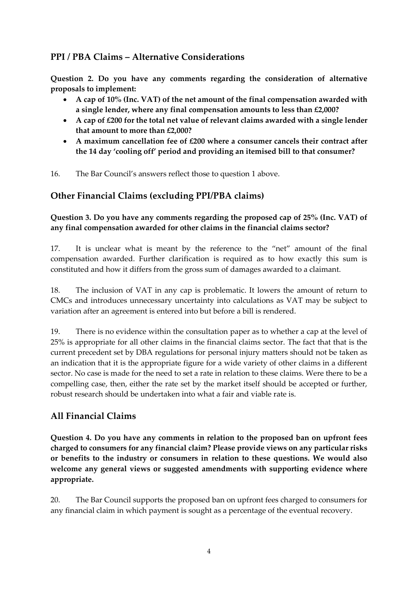## **PPI / PBA Claims – Alternative Considerations**

**Question 2. Do you have any comments regarding the consideration of alternative proposals to implement:**

- **A cap of 10% (Inc. VAT) of the net amount of the final compensation awarded with a single lender, where any final compensation amounts to less than £2,000?**
- **A cap of £200 for the total net value of relevant claims awarded with a single lender that amount to more than £2,000?**
- **A maximum cancellation fee of £200 where a consumer cancels their contract after the 14 day 'cooling off' period and providing an itemised bill to that consumer?**

16. The Bar Council's answers reflect those to question 1 above.

## **Other Financial Claims (excluding PPI/PBA claims)**

#### **Question 3. Do you have any comments regarding the proposed cap of 25% (Inc. VAT) of any final compensation awarded for other claims in the financial claims sector?**

17. It is unclear what is meant by the reference to the "net" amount of the final compensation awarded. Further clarification is required as to how exactly this sum is constituted and how it differs from the gross sum of damages awarded to a claimant.

18. The inclusion of VAT in any cap is problematic. It lowers the amount of return to CMCs and introduces unnecessary uncertainty into calculations as VAT may be subject to variation after an agreement is entered into but before a bill is rendered.

19. There is no evidence within the consultation paper as to whether a cap at the level of 25% is appropriate for all other claims in the financial claims sector. The fact that that is the current precedent set by DBA regulations for personal injury matters should not be taken as an indication that it is the appropriate figure for a wide variety of other claims in a different sector. No case is made for the need to set a rate in relation to these claims. Were there to be a compelling case, then, either the rate set by the market itself should be accepted or further, robust research should be undertaken into what a fair and viable rate is.

## **All Financial Claims**

**Question 4. Do you have any comments in relation to the proposed ban on upfront fees charged to consumers for any financial claim? Please provide views on any particular risks or benefits to the industry or consumers in relation to these questions. We would also welcome any general views or suggested amendments with supporting evidence where appropriate.**

20. The Bar Council supports the proposed ban on upfront fees charged to consumers for any financial claim in which payment is sought as a percentage of the eventual recovery.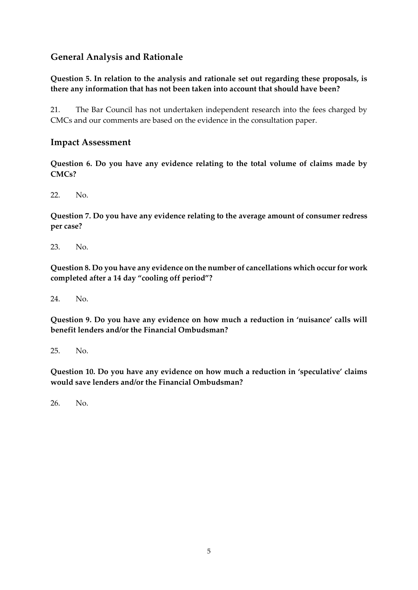### **General Analysis and Rationale**

#### **Question 5. In relation to the analysis and rationale set out regarding these proposals, is there any information that has not been taken into account that should have been?**

21. The Bar Council has not undertaken independent research into the fees charged by CMCs and our comments are based on the evidence in the consultation paper.

#### **Impact Assessment**

**Question 6. Do you have any evidence relating to the total volume of claims made by CMCs?**

22. No.

**Question 7. Do you have any evidence relating to the average amount of consumer redress per case?**

23. No.

**Question 8. Do you have any evidence on the number of cancellations which occur for work completed after a 14 day "cooling off period"?**

24. No.

**Question 9. Do you have any evidence on how much a reduction in 'nuisance' calls will benefit lenders and/or the Financial Ombudsman?**

25. No.

**Question 10. Do you have any evidence on how much a reduction in 'speculative' claims would save lenders and/or the Financial Ombudsman?**

26. No.